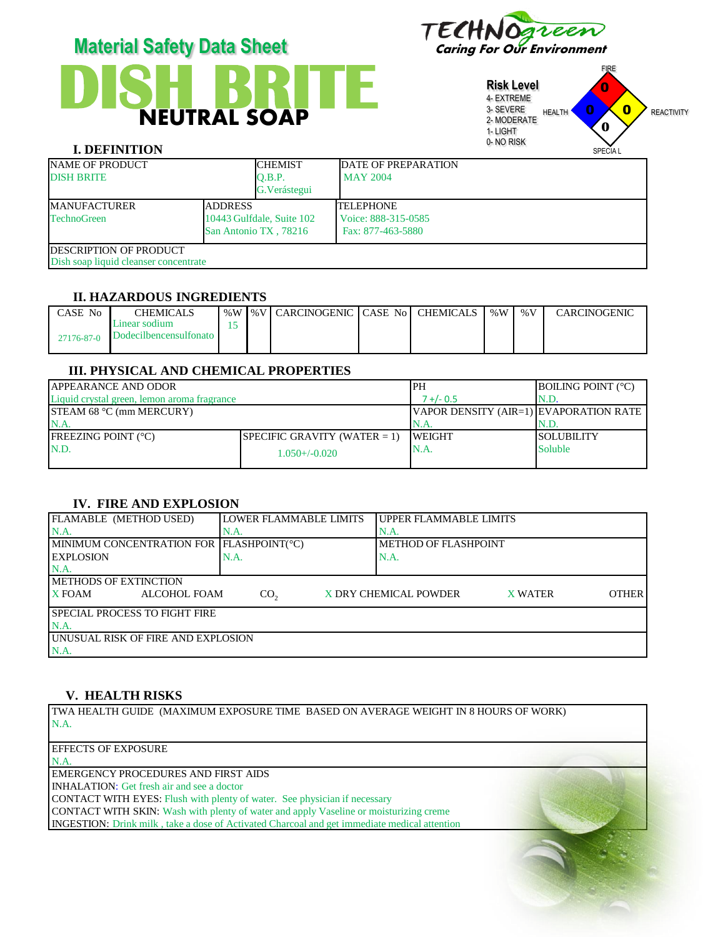

# **DISH BRITE** NEUTRAL SOAP **Material Safety Data Sheet** Caring For Our Environment

**Risk Level** 4- EXTREME 3- SEVERE 2- MODERATE 1- LIGHT 0- NO RISK FIRE HEALTH **U U REACTIVITY** SPECIA L 0 0 0 **0**

|                    |                                       |                                                    | $\checkmark$<br><b>SPECIAL</b> |
|--------------------|---------------------------------------|----------------------------------------------------|--------------------------------|
|                    | <b>CHEMIST</b>                        | <b>IDATE OF PREPARATION</b>                        |                                |
|                    | O.B.P.                                | <b>MAY 2004</b>                                    |                                |
|                    | G. Verástegui                         |                                                    |                                |
| <b>ADDRESS</b>     |                                       | <b>TELEPHONE</b>                                   |                                |
| <b>TechnoGreen</b> |                                       | Voice: 888-315-0585                                |                                |
|                    |                                       | Fax: 877-463-5880                                  |                                |
|                    |                                       |                                                    |                                |
|                    |                                       |                                                    |                                |
|                    | Dish soap liquid cleanser concentrate | 10443 Gulfdale, Suite 102<br>San Antonio TX, 78216 | U-INU KIDA                     |

## **II. HAZARDOUS INGREDIENTS**

| CASE No    | CHEMICALS                               | % $W$ | 1%VI CARCINOGENIC I CASE No I CHEMICALS |  | $\%W$ | $\%$ V | <b>CARCINOGENIC</b> |
|------------|-----------------------------------------|-------|-----------------------------------------|--|-------|--------|---------------------|
| 27176-87-0 | Linear sodium<br>Dodecilbencensulfonato |       |                                         |  |       |        |                     |

## **III. PHYSICAL AND CHEMICAL PROPERTIES**

| <b>APPEARANCE AND ODOR</b>                  |                                 | PH                                      | <b>BOILING POINT (°C)</b> |
|---------------------------------------------|---------------------------------|-----------------------------------------|---------------------------|
| Liquid crystal green, lemon aroma fragrance | 7 +/- 0.5                       | N.D.                                    |                           |
| <b>STEAM 68 °C (mm MERCURY)</b>             |                                 | VAPOR DENSITY (AIR=1) EVAPORATION RATE= |                           |
| N.A.                                        |                                 | N.A                                     | IN.D.                     |
| <b>FREEZING POINT (°C)</b>                  | SPECIFIC GRAVITY (WATER $= 1$ ) | <b>WEIGHT</b>                           | ISOLUBILITY               |
| N.D.                                        | $1.050 + (-0.020)$              | IN.A.                                   | <b>Soluble</b>            |
|                                             |                                 |                                         |                           |

## **IV. FIRE AND EXPLOSION**

| LOWER FLAMMABLE LIMITS<br>UPPER FLAMMABLE LIMITS<br>$NA$ .<br>N.A.<br>IN.A.<br>MINIMUM CONCENTRATION FOR FLASHPOINT(°C)<br><b>METHOD OF FLASHPOINT</b><br><b>IEXPLOSION</b><br>N.A.<br>N.A.<br>$NA$ .<br><b>IMETHODS OF EXTINCTION</b><br><b>X</b> FOAM<br>X DRY CHEMICAL POWDER<br>ALCOHOL FOAM<br>CO <sub>2</sub><br><b>X WATER</b><br><b>ISPECIAL PROCESS TO FIGHT FIRE</b><br>IN.A<br><b>UNUSUAL RISK OF FIRE AND EXPLOSION</b> |                        |  |  |              |
|-------------------------------------------------------------------------------------------------------------------------------------------------------------------------------------------------------------------------------------------------------------------------------------------------------------------------------------------------------------------------------------------------------------------------------------|------------------------|--|--|--------------|
|                                                                                                                                                                                                                                                                                                                                                                                                                                     | FLAMABLE (METHOD USED) |  |  |              |
|                                                                                                                                                                                                                                                                                                                                                                                                                                     |                        |  |  |              |
|                                                                                                                                                                                                                                                                                                                                                                                                                                     |                        |  |  |              |
|                                                                                                                                                                                                                                                                                                                                                                                                                                     |                        |  |  |              |
|                                                                                                                                                                                                                                                                                                                                                                                                                                     |                        |  |  |              |
|                                                                                                                                                                                                                                                                                                                                                                                                                                     |                        |  |  |              |
|                                                                                                                                                                                                                                                                                                                                                                                                                                     |                        |  |  | <b>OTHER</b> |
|                                                                                                                                                                                                                                                                                                                                                                                                                                     |                        |  |  |              |
|                                                                                                                                                                                                                                                                                                                                                                                                                                     |                        |  |  |              |
|                                                                                                                                                                                                                                                                                                                                                                                                                                     |                        |  |  |              |
|                                                                                                                                                                                                                                                                                                                                                                                                                                     | N.A.                   |  |  |              |

#### **V. HEALTH RISKS**

TWA HEALTH GUIDE (MAXIMUM EXPOSURE TIME BASED ON AVERAGE WEIGHT IN 8 HOURS OF WORK) N.A.

#### EFFECTS OF EXPOSURE N.A.

EMERGENCY PROCEDURES AND FIRST AIDS

INHALATION: Get fresh air and see a doctor

CONTACT WITH EYES: Flush with plenty of water. See physician if necessary

CONTACT WITH SKIN: Wash with plenty of water and apply Vaseline or moisturizing creme

INGESTION: Drink milk , take a dose of Activated Charcoal and get immediate medical attention